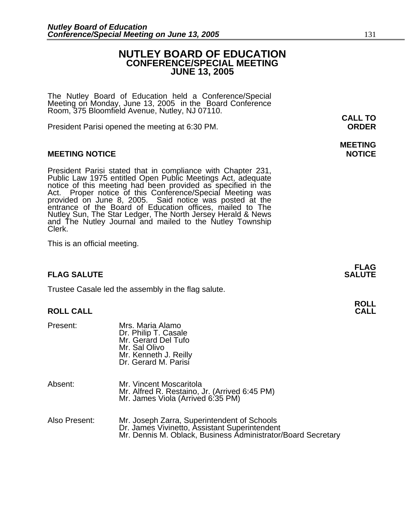# **NUTLEY BOARD OF EDUCATION CONFERENCE/SPECIAL MEETING JUNE 13, 2005**

The Nutley Board of Education held a Conference/Special Meeting on Monday, June 13, 2005 in the Board Conference Room, 375 Bloomfield Avenue, Nutley, NJ 07110.

President Parisi opened the meeting at 6:30 PM. **ORDER**

# **MEETING NOTICE NOTICE**

President Parisi stated that in compliance with Chapter 231,<br>Public Law 1975 entitled Open Public Meetings Act, adequate<br>notice of this meeting had been provided as specified in the<br>Act. Proper notice of this Conference/Sp Nutley Sun, The Star Ledger, The North Jersey Herald & News and The Nutley Journal and mailed to the Nutley Township Clerk.

This is an official meeting.

# **FLAG SALUTE SALUTE SALUTE**

Trustee Casale led the assembly in the flag salute.

## **ROLL CALL**

| Present:      | Mrs. Maria Alamo<br>Dr. Philip T. Casale<br>Mr. Gerard Del Tufo<br>Mr. Sal Olivo<br>Mr. Kenneth J. Reilly<br>Dr. Gerard M. Parisi                            |
|---------------|--------------------------------------------------------------------------------------------------------------------------------------------------------------|
| Absent:       | Mr. Vincent Moscaritola<br>Mr. Alfred R. Restaino, Jr. (Arrived 6:45 PM)<br>Mr. James Viola (Arrived 6:35 PM)                                                |
| Also Present: | Mr. Joseph Zarra, Superintendent of Schools<br>Dr. James Vivinetto, Assistant Superintendent<br>Mr. Dennis M. Oblack, Business Administrator/Board Secretary |

**CALL TO** 

# **MEETING**

**FLAG**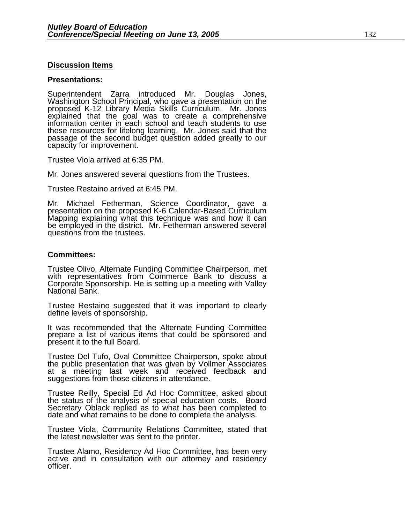## **Discussion Items**

## **Presentations:**

Superintendent Zarra introduced Mr. Douglas Jones, Washington School Principal, who gave a presentation on the<br>proposed K-12 Library Media Skills Curriculum. Mr. Jones proposed K-12 Library Media Skills Curriculum. Mr. Jones explained that the goal was to create a comprehensive information center in each school and teach students to use these resources for lifelong learning. Mr. Jones said that the passage of the second budget question added greatly to our capacity for improvement.

Trustee Viola arrived at 6:35 PM.

Mr. Jones answered several questions from the Trustees.

Trustee Restaino arrived at 6:45 PM.

Mr. Michael Fetherman, Science Coordinator, gave a presentation on the proposed K-6 Calendar-Based Curriculum Mapping explaining what this technique was and how it can be employed in the district. Mr. Fetherman answered several questions from the trustees.

## **Committees:**

Trustee Olivo, Alternate Funding Committee Chairperson, met with representatives from Commerce Bank to discuss a Corporate Sponsorship. He is setting up a meeting with Valley National Bank.

Trustee Restaino suggested that it was important to clearly define levels of sponsorship.

It was recommended that the Alternate Funding Committee prepare a list of various items that could be sponsored and present it to the full Board.

Trustee Del Tufo, Oval Committee Chairperson, spoke about the public presentation that was given by Vollmer Associates at a meeting last week and received feedback and suggestions from those citizens in attendance.

Trustee Reilly, Special Ed Ad Hoc Committee, asked about Secretary Oblack replied as to what has been completed to date and what remains to be done to complete the analysis.

Trustee Viola, Community Relations Committee, stated that the latest newsletter was sent to the printer.

Trustee Alamo, Residency Ad Hoc Committee, has been very active and in consultation with our attorney and residency officer.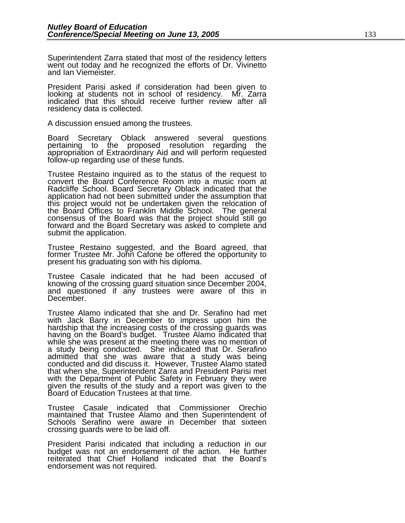Superintendent Zarra stated that most of the residency letters went out today and he recognized the efforts of Dr. Vivinetto and Ian Viemeister.

President Parisi asked if consideration had been given to<br>looking at students not in school of residency. Mr. Zarra indicated that this should receive further review after all residency data is collected.

A discussion ensued among the trustees.

Board Secretary Oblack answered several questions pertaining to the proposed resolution regarding the appropriation of Extraordinary Aid and will perform requested follow-up regarding use of these funds.

Trustee Restaino inquired as to the status of the request to convert the Board Conference Room into a music room at Radcliffe School. Board Secretary Oblack indicated that the application had not been submitted under the assumption that this project would not be undertaken given the relocation of the Board Offices to Franklin Middle School. The general consensus of the Board was that the project should still go forward and the Board Secretary was asked to complete and submit the application.

Trustee Restaino suggested, and the Board agreed, that former Trustee Mr. John Cafone be offered the opportunity to present his graduating son with his diploma.

Trustee Casale indicated that he had been accused of knowing of the crossing guard situation since December 2004, and questioned if any trustees were aware of this in December.

Trustee Alamo indicated that she and Dr. Serafino had met with Jack Barry in December to impress upon him the hardship that the increasing costs of the crossing guards was having on the Board's budget. Trustee Alamo indicated that while she was present at the meeting there was no mention of a study being conducted. She indicated that Dr. Serafino admitted that she was aware that  $a$  study was being conducted and did discuss it. However, Trustee Alamo stated that when she, Superintendent Zarra and President Parisi met with the Department of Public Safety in February they were given the results of the study and a report was given to the Board of Education Trustees at that time.

Trustee Casale indicated that Commissioner Orechio maintained that Trustee Alamo and then Superintendent of Schools Serafino were aware in December that sixteen crossing guards were to be laid off.

President Parisi indicated that including a reduction in our budget was not an endorsement of the action. He further reiterated that Chief Holland indicated that the Board's endorsement was not required.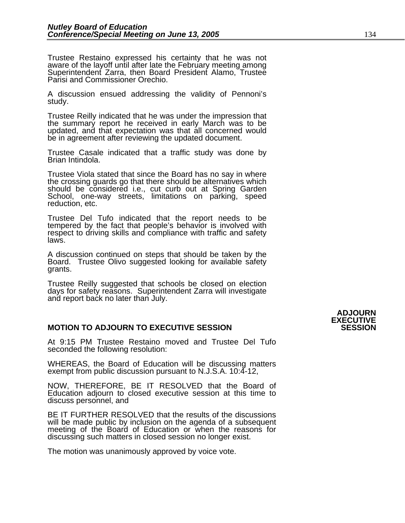Trustee Restaino expressed his certainty that he was not aware of the layoff until after late the February meeting among Superintendent Zarra, then Board President Alamo, Trustee Parisi and Commissioner Orechio.

A discussion ensued addressing the validity of Pennoni's study.

Trustee Reilly indicated that he was under the impression that<br>the summary report he received in early March was to be updated, and that expectation was that all concerned would be in agreement after reviewing the updated document.

Trustee Casale indicated that a traffic study was done by<br>Brian Intindola.

Trustee Viola stated that since the Board has no say in where the crossing guards go that there should be alternatives which should be considered i.e., cut curb out at Spring Garden School, one-way streets, limitations on parking, speed reduction, etc.

Trustee Del Tufo indicated that the report needs to be tempered by the fact that people's behavior is involved with respect to driving skills and compliance with traffic and safety laws.

A discussion continued on steps that should be taken by the Board. Trustee Olivo suggested looking for available safety grants.

Trustee Reilly suggested that schools be closed on election days for safety reasons. Superintendent Zarra will investigate and report back no later than July.

# **MOTION TO ADJOURN TO EXECUTIVE SESSION**

At 9:15 PM Trustee Restaino moved and Trustee Del Tufo seconded the following resolution:

WHEREAS, the Board of Education will be discussing matters exempt from public discussion pursuant to N.J.S.A. 10:4-12,

NOW, THEREFORE, BE IT RESOLVED that the Board of Education adjourn to closed executive session at this time to discuss personnel, and

BE IT FURTHER RESOLVED that the results of the discussions will be made public by inclusion on the agenda of a subsequent meeting of the Board of Education or when the reasons for discussing such matters in closed session no longer exist.

The motion was unanimously approved by voice vote.

# **ADJOURN EXECUTIVE**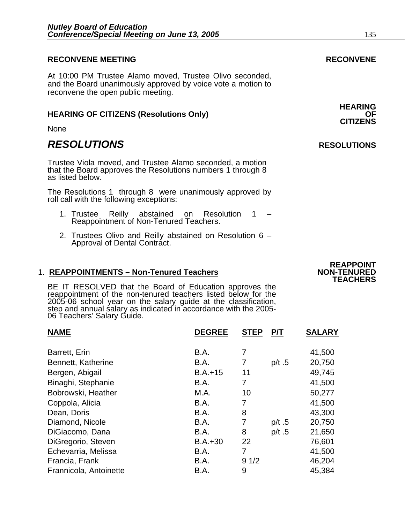# **RECONVENE MEETING RECONVENE**

At 10:00 PM Trustee Alamo moved, Trustee Olivo seconded, and the Board unanimously approved by voice vote a motion to reconvene the open public meeting.

# **HEARING OF CITIZENS (Resolutions Only)** OF **OF CITIZENS**

None

# *RESOLUTIONS* **RESOLUTIONS**

Trustee Viola moved, and Trustee Alamo seconded, a motion that the Board approves the Resolutions numbers 1 through 8 as listed below.

The Resolutions 1 through 8 were unanimously approved by roll call with the following exceptions:

- 1. Trustee Reilly abstained on Resolution 1 Reappointment of Non-Tenured Teachers.
- 2. Trustees Olivo and Reilly abstained on Resolution 6 Approval of Dental Contract.

# 1. **REAPPOINTMENTS - Non-Tenured Teachers**

BE IT RESOLVED that the Board of Education approves the reappointment of the non-tenured teachers listed below for the 2005-06 school year on the salary guide at the classification, step and annual salary as indicated in accordance with the 2005-06 Teachers' Salary Guide.

| <b>NAME</b>            | <b>DEGREE</b> | <b>STEP</b> | P/T      | <b>SALARY</b> |
|------------------------|---------------|-------------|----------|---------------|
| Barrett, Erin          | B.A.          | 7           |          | 41,500        |
| Bennett, Katherine     | B.A.          | 7           | p/t $.5$ | 20,750        |
| Bergen, Abigail        | $B.A.+15$     | 11          |          | 49,745        |
| Binaghi, Stephanie     | B.A.          | 7           |          | 41,500        |
| Bobrowski, Heather     | M.A.          | 10          |          | 50,277        |
| Coppola, Alicia        | B.A.          | 7           |          | 41,500        |
| Dean, Doris            | B.A.          | 8           |          | 43,300        |
| Diamond, Nicole        | B.A.          | 7           | p/t.5    | 20,750        |
| DiGiacomo, Dana        | B.A.          | 8           | p/t.5    | 21,650        |
| DiGregorio, Steven     | $B.A.+30$     | 22          |          | 76,601        |
| Echevarria, Melissa    | B.A.          | 7           |          | 41,500        |
| Francia, Frank         | B.A.          | 91/2        |          | 46,204        |
| Frannicola, Antoinette | B.A.          | 9           |          | 45,384        |

# **REAPPOINT TEACHERS**

**HEARING**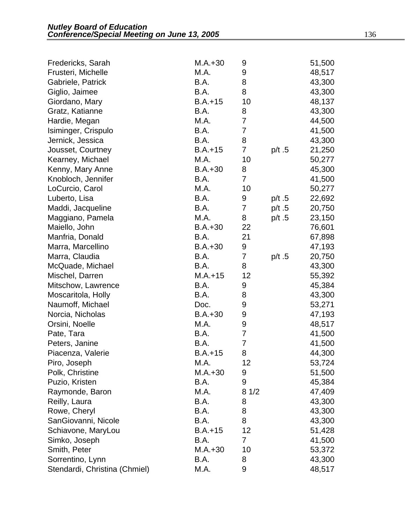| Fredericks, Sarah             | $M.A.+30$ | 9              |          | 51,500 |
|-------------------------------|-----------|----------------|----------|--------|
| Frusteri, Michelle            | M.A.      | 9              |          | 48,517 |
| Gabriele, Patrick             | B.A.      | 8              |          | 43,300 |
| Giglio, Jaimee                | B.A.      | 8              |          | 43,300 |
| Giordano, Mary                | $B.A.+15$ | 10             |          | 48,137 |
| Gratz, Katianne               | B.A.      | 8              |          | 43,300 |
| Hardie, Megan                 | M.A.      | $\overline{7}$ |          | 44,500 |
| Isiminger, Crispulo           | B.A.      | 7              |          | 41,500 |
| Jernick, Jessica              | B.A.      | 8              |          | 43,300 |
| Jousset, Courtney             | $B.A.+15$ | 7              | p/t.5    | 21,250 |
| Kearney, Michael              | M.A.      | 10             |          | 50,277 |
| Kenny, Mary Anne              | $B.A.+30$ | 8              |          | 45,300 |
| Knobloch, Jennifer            | B.A.      | $\overline{7}$ |          | 41,500 |
| LoCurcio, Carol               | M.A.      | 10             |          | 50,277 |
| Luberto, Lisa                 | B.A.      | 9              | p/t $.5$ | 22,692 |
| Maddi, Jacqueline             | B.A.      | 7              | p/t.5    | 20,750 |
| Maggiano, Pamela              | M.A.      | 8              | p/t.5    | 23,150 |
| Maiello, John                 | $B.A.+30$ | 22             |          | 76,601 |
| Manfria, Donald               | B.A.      | 21             |          | 67,898 |
| Marra, Marcellino             | $B.A.+30$ | 9              |          | 47,193 |
| Marra, Claudia                | B.A.      | 7              | p/t.5    | 20,750 |
| McQuade, Michael              | B.A.      | 8              |          | 43,300 |
| Mischel, Darren               | $M.A.+15$ | 12             |          | 55,392 |
| Mitschow, Lawrence            | B.A.      | 9              |          | 45,384 |
| Moscaritola, Holly            | B.A.      | 8              |          | 43,300 |
| Naumoff, Michael              | Doc.      | 9              |          | 53,271 |
| Norcia, Nicholas              | $B.A.+30$ | 9              |          | 47,193 |
| Orsini, Noelle                | M.A.      | 9              |          | 48,517 |
| Pate, Tara                    | B.A.      | 7              |          | 41,500 |
| Peters, Janine                | B.A.      | 7              |          | 41,500 |
| Piacenza, Valerie             | $B.A.+15$ | 8              |          | 44,300 |
| Piro, Joseph                  | M.A.      | 12             |          | 53,724 |
| Polk, Christine               | $M.A.+30$ | 9              |          | 51,500 |
| Puzio, Kristen                | B.A.      | 9              |          | 45,384 |
| Raymonde, Baron               | M.A.      | 81/2           |          | 47,409 |
| Reilly, Laura                 | B.A.      | 8              |          | 43,300 |
| Rowe, Cheryl                  | B.A.      | 8              |          | 43,300 |
| SanGiovanni, Nicole           | B.A.      | 8              |          | 43,300 |
| Schiavone, MaryLou            | $B.A.+15$ | 12             |          | 51,428 |
| Simko, Joseph                 | B.A.      | 7              |          | 41,500 |
| Smith, Peter                  | $M.A.+30$ | 10             |          | 53,372 |
| Sorrentino, Lynn              | B.A.      | 8              |          | 43,300 |
| Stendardi, Christina (Chmiel) | M.A.      | 9              |          | 48,517 |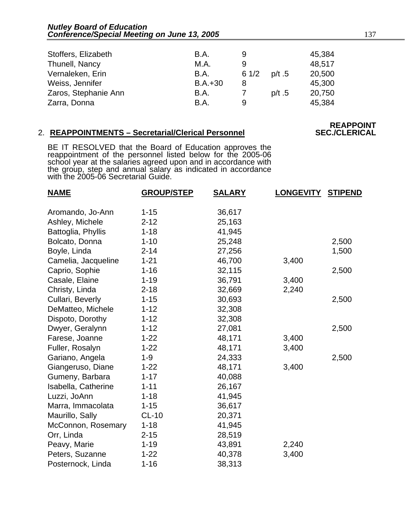| Stoffers, Elizabeth  | B.A.        | 9    |       | 45,384 |
|----------------------|-------------|------|-------|--------|
| Thunell, Nancy       | M.A.        | 9    |       | 48,517 |
| Vernaleken, Erin     | <b>B.A.</b> | 61/2 | p/t.5 | 20,500 |
| Weiss, Jennifer      | $B.A.+30$   | 8    |       | 45,300 |
| Zaros, Stephanie Ann | B.A.        |      | p/t.5 | 20,750 |
| Zarra, Donna         | B.A.        | 9    |       | 45,384 |

# 2. **REAPPOINTMENTS - Secretarial/Clerical Personnel**

# **REAPPOINT<br>SEC./CLERICAL**

BE IT RESOLVED that the Board of Education approves the reappointment of the personnel listed below for the 2005-06 school year at the salaries agreed upon and in accordance with the group, step and annual salary as indicated in accordance with the 2005-06 Secretarial Guide.

| <b>NAME</b>         | <b>GROUP/STEP</b> | <b>SALARY</b> | <b>LONGEVITY</b> | <b>STIPEND</b> |
|---------------------|-------------------|---------------|------------------|----------------|
| Aromando, Jo-Ann    | $1 - 15$          | 36,617        |                  |                |
| Ashley, Michele     | $2 - 12$          | 25,163        |                  |                |
| Battoglia, Phyllis  | $1 - 18$          | 41,945        |                  |                |
| Bolcato, Donna      | $1 - 10$          | 25,248        |                  | 2,500          |
| Boyle, Linda        | $2 - 14$          | 27,256        |                  | 1,500          |
| Camelia, Jacqueline | $1 - 21$          | 46,700        | 3,400            |                |
| Caprio, Sophie      | $1 - 16$          | 32,115        |                  | 2,500          |
| Casale, Elaine      | $1 - 19$          | 36,791        | 3,400            |                |
| Christy, Linda      | $2 - 18$          | 32,669        | 2,240            |                |
| Cullari, Beverly    | $1 - 15$          | 30,693        |                  | 2,500          |
| DeMatteo, Michele   | $1 - 12$          | 32,308        |                  |                |
| Dispoto, Dorothy    | $1 - 12$          | 32,308        |                  |                |
| Dwyer, Geralynn     | $1 - 12$          | 27,081        |                  | 2,500          |
| Farese, Joanne      | $1 - 22$          | 48,171        | 3,400            |                |
| Fuller, Rosalyn     | $1 - 22$          | 48,171        | 3,400            |                |
| Gariano, Angela     | $1 - 9$           | 24,333        |                  | 2,500          |
| Giangeruso, Diane   | $1 - 22$          | 48,171        | 3,400            |                |
| Gumeny, Barbara     | $1 - 17$          | 40,088        |                  |                |
| Isabella, Catherine | $1 - 11$          | 26,167        |                  |                |
| Luzzi, JoAnn        | $1 - 18$          | 41,945        |                  |                |
| Marra, Immacolata   | $1 - 15$          | 36,617        |                  |                |
| Maurillo, Sally     | $CL-10$           | 20,371        |                  |                |
| McConnon, Rosemary  | $1 - 18$          | 41,945        |                  |                |
| Orr, Linda          | $2 - 15$          | 28,519        |                  |                |
| Peavy, Marie        | $1 - 19$          | 43,891        | 2,240            |                |
| Peters, Suzanne     | $1 - 22$          | 40,378        | 3,400            |                |
| Posternock, Linda   | $1 - 16$          | 38,313        |                  |                |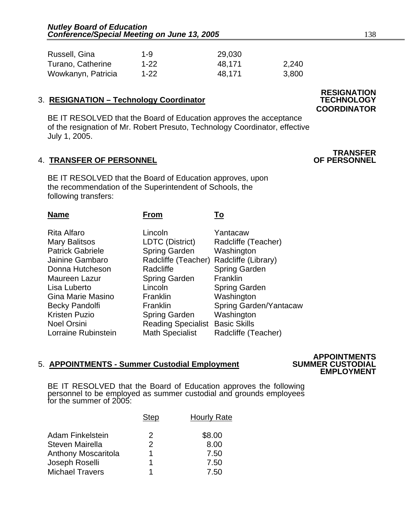| Russell, Gina      | 1-9      | 29,030 |       |
|--------------------|----------|--------|-------|
| Turano, Catherine  | $1 - 22$ | 48.171 | 2,240 |
| Wowkanyn, Patricia | $1 - 22$ | 48.171 | 3,800 |

# 3. **RESIGNATION - Technology Coordinator**

BE IT RESOLVED that the Board of Education approves the acceptance of the resignation of Mr. Robert Presuto, Technology Coordinator, effective July 1, 2005.

# **4. TRANSFER OF PERSONNEL**

BE IT RESOLVED that the Board of Education approves, upon the recommendation of the Superintendent of Schools, the following transfers:

| Name                    | From                      | To                     |
|-------------------------|---------------------------|------------------------|
| Rita Alfaro             | Lincoln                   | Yantacaw               |
| <b>Mary Balitsos</b>    | LDTC (District)           | Radcliffe (Teacher)    |
| <b>Patrick Gabriele</b> | <b>Spring Garden</b>      | Washington             |
| Jainine Gambaro         | Radcliffe (Teacher)       | Radcliffe (Library)    |
| Donna Hutcheson         | Radcliffe                 | <b>Spring Garden</b>   |
| Maureen Lazur           | <b>Spring Garden</b>      | Franklin               |
| Lisa Luberto            | Lincoln                   | <b>Spring Garden</b>   |
| Gina Marie Masino       | Franklin                  | Washington             |
| Becky Pandolfi          | Franklin                  | Spring Garden/Yantacaw |
| Kristen Puzio           | <b>Spring Garden</b>      | Washington             |
| Noel Orsini             | <b>Reading Specialist</b> | <b>Basic Skills</b>    |
| Lorraine Rubinstein     | <b>Math Specialist</b>    | Radcliffe (Teacher)    |

# 5. **APPOINTMENTS - Summer Custodial Employment SUMMER CUSTODIAL**

 **APPOINTMENTS EMPLOYMENT** 

BE IT RESOLVED that the Board of Education approves the following<br>personnel to be employed as summer custodial and grounds employees for the summer of 2005:

|                            | <b>Step</b>   | <b>Hourly Rate</b> |
|----------------------------|---------------|--------------------|
| Adam Finkelstein           | 2             | \$8.00             |
| Steven Mairella            | $\mathcal{P}$ | 8.00               |
| <b>Anthony Moscaritola</b> |               | 7.50               |
| Joseph Roselli             | 1             | 7.50               |
| <b>Michael Travers</b>     |               | 7.50               |

# **RESIGNATION COORDINATOR**

**TRANSFER<br>OF PERSONNEL**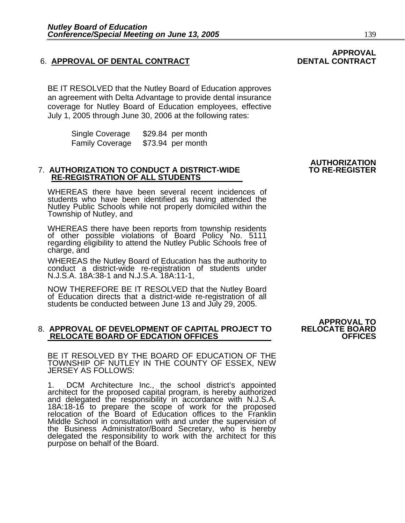# 6. APPROVAL OF DENTAL CONTRACT **DENTAL CONTRACT**

BE IT RESOLVED that the Nutley Board of Education approves an agreement with Delta Advantage to provide dental insurance coverage for Nutley Board of Education employees, effective July 1, 2005 through June 30, 2006 at the following rates:

> Single Coverage \$29.84 per month Family Coverage \$73.94 per month

## **7. AUTHORIZATION TO CONDUCT A DISTRICT-WIDE RE-REGISTRATION OF ALL STUDENTS**

WHEREAS there have been several recent incidences of students who have been identified as having attended the Nutley Public Schools while not properly domiciled within the Township of Nutley, and

WHEREAS there have been reports from township residents of other possible violations of Board Policy No. 5111 regarding eligibility to attend the Nutley Public Schools free of charge, and

WHEREAS the Nutley Board of Education has the authority to conduct a district-wide re-registration of students under N.J.S.A. 18A:38-1 and N.J.S.A. 18A:11-1,

NOW THEREFORE BE IT RESOLVED that the Nutley Board of Education directs that a district-wide re-registration of all students be conducted between June 13 and July 29, 2005.

### 8. **APPROVAL OF DEVELOPMENT OF CAPITAL PROJECT TO RELOCATE BOARD RELOCATE BOARD OF EDCATION OFFICES**

BE IT RESOLVED BY THE BOARD OF EDUCATION OF THE TOWNSHIP OF NUTLEY IN THE COUNTY OF ESSEX, NEW JERSEY AS FOLLOWS:

1. DCM Architecture Inc., the school district's appointed architect for the proposed capital program, is hereby authorized and delegated the responsibility in accordance with N.J.S.A. 18A:18-16 to prepare the scope of work for the proposed relocation of the Board of Education offices to the Franklin Middle School in consultation with and under the supervision of the Business Administrator/Board Secretary, who is hereby delegated the responsibility to work with the architect for this purpose on behalf of the Board. İ

**APPROVAL TO** 

# **APPROVAL**

**AUTHORIZATION**